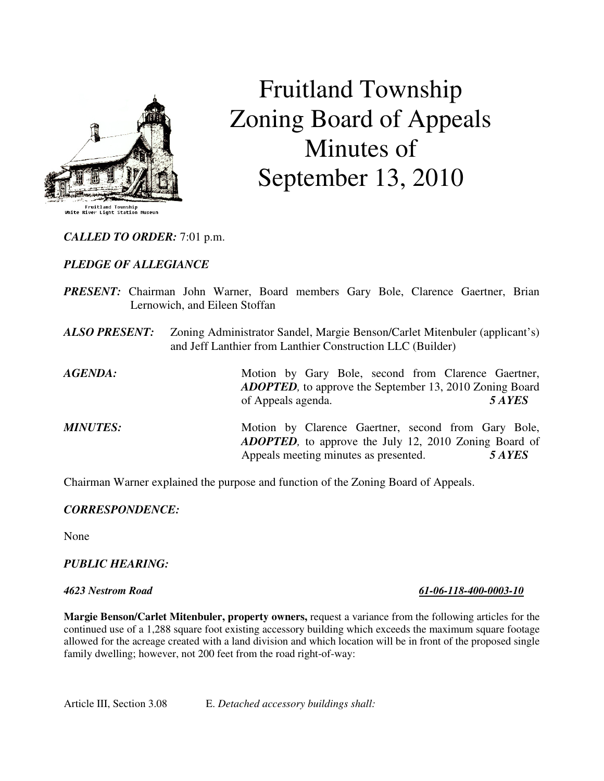

# Fruitland Township Zoning Board of Appeals Minutes of September 13, 2010

*CALLED TO ORDER:* 7:01 p.m.

# *PLEDGE OF ALLEGIANCE*

- *PRESENT:* Chairman John Warner, Board members Gary Bole, Clarence Gaertner, Brian Lernowich, and Eileen Stoffan
- *ALSO PRESENT:* Zoning Administrator Sandel, Margie Benson/Carlet Mitenbuler (applicant's) and Jeff Lanthier from Lanthier Construction LLC (Builder)

*AGENDA:* Motion by Gary Bole, second from Clarence Gaertner, *ADOPTED,* to approve the September 13, 2010 Zoning Board of Appeals agenda. *5 AYES* 

*MINUTES:* Motion by Clarence Gaertner, second from Gary Bole, *ADOPTED,* to approve the July 12, 2010 Zoning Board of Appeals meeting minutes as presented. *5 AYES* 

Chairman Warner explained the purpose and function of the Zoning Board of Appeals.

### *CORRESPONDENCE:*

None

### *PUBLIC HEARING:*

**Margie Benson/Carlet Mitenbuler, property owners,** request a variance from the following articles for the continued use of a 1,288 square foot existing accessory building which exceeds the maximum square footage allowed for the acreage created with a land division and which location will be in front of the proposed single family dwelling; however, not 200 feet from the road right-of-way:

Article III, Section 3.08 E. *Detached accessory buildings shall:*

*4623 Nestrom Road 61-06-118-400-0003-10*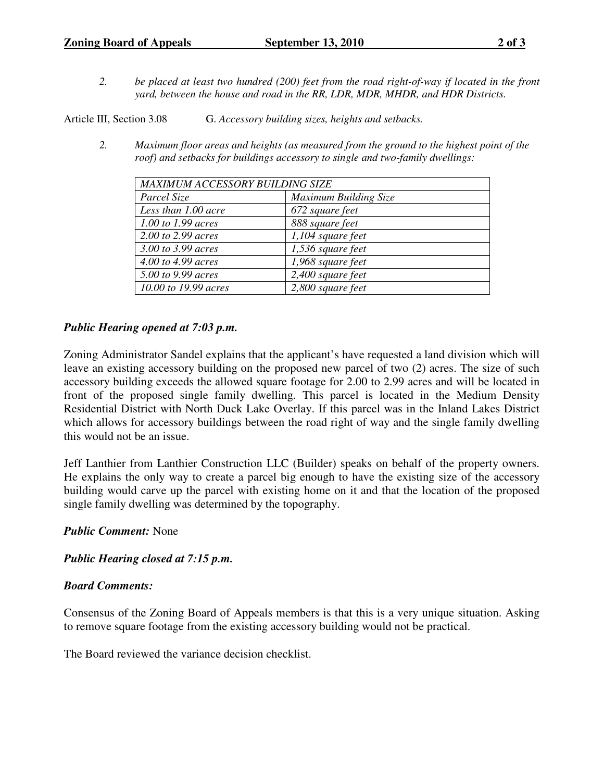*2. be placed at least two hundred (200) feet from the road right-of-way if located in the front yard, between the house and road in the RR, LDR, MDR, MHDR, and HDR Districts.* 

Article III, Section 3.08 G. *Accessory building sizes, heights and setbacks.*

*2. Maximum floor areas and heights (as measured from the ground to the highest point of the roof) and setbacks for buildings accessory to single and two-family dwellings:* 

| MAXIMUM ACCESSORY BUILDING SIZE |                       |
|---------------------------------|-----------------------|
| Parcel Size                     | Maximum Building Size |
| Less than 1.00 acre             | 672 square feet       |
| 1.00 to 1.99 acres              | 888 square feet       |
| 2.00 to 2.99 acres              | $1,104$ square feet   |
| 3.00 to 3.99 acres              | 1,536 square feet     |
| 4.00 to 4.99 acres              | 1,968 square feet     |
| 5.00 to 9.99 acres              | 2,400 square feet     |
| 10.00 to 19.99 acres            | 2,800 square feet     |

## *Public Hearing opened at 7:03 p.m.*

Zoning Administrator Sandel explains that the applicant's have requested a land division which will leave an existing accessory building on the proposed new parcel of two (2) acres. The size of such accessory building exceeds the allowed square footage for 2.00 to 2.99 acres and will be located in front of the proposed single family dwelling. This parcel is located in the Medium Density Residential District with North Duck Lake Overlay. If this parcel was in the Inland Lakes District which allows for accessory buildings between the road right of way and the single family dwelling this would not be an issue.

Jeff Lanthier from Lanthier Construction LLC (Builder) speaks on behalf of the property owners. He explains the only way to create a parcel big enough to have the existing size of the accessory building would carve up the parcel with existing home on it and that the location of the proposed single family dwelling was determined by the topography.

### *Public Comment:* None

*Public Hearing closed at 7:15 p.m.*

### *Board Comments:*

Consensus of the Zoning Board of Appeals members is that this is a very unique situation. Asking to remove square footage from the existing accessory building would not be practical.

The Board reviewed the variance decision checklist.